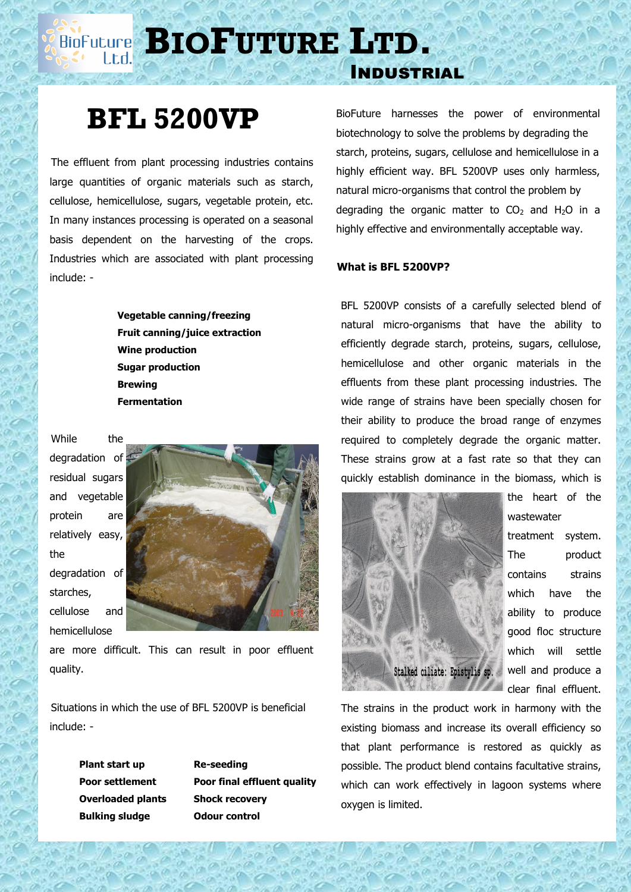**BIOPUTURE** LTD.

## **BFL 5200VP**

 The effluent from plant processing industries contains large quantities of organic materials such as starch, cellulose, hemicellulose, sugars, vegetable protein, etc. In many instances processing is operated on a seasonal basis dependent on the harvesting of the crops. Industries which are associated with plant processing include: -

> **Vegetable canning/freezing Fruit canning/juice extraction Wine production Sugar production Brewing Fermentation**

While the degradation of residual sugars and vegetable protein are relatively easy, the degradation of starches, cellulose and hemicellulose



are more difficult. This can result in poor effluent quality.

 Situations in which the use of BFL 5200VP is beneficial include: -

> **Plant start up Re-seeding Overloaded plants Shock recovery Bulking sludge Odour control**

**Poor settlement Poor final effluent quality**

BioFuture harnesses the power of environmental biotechnology to solve the problems by degrading the starch, proteins, sugars, cellulose and hemicellulose in a highly efficient way. BFL 5200VP uses only harmless, natural micro-organisms that control the problem by degrading the organic matter to  $CO<sub>2</sub>$  and H<sub>2</sub>O in a highly effective and environmentally acceptable way.

## **What is BFL 5200VP?**

Industrial

 BFL 5200VP consists of a carefully selected blend of natural micro-organisms that have the ability to efficiently degrade starch, proteins, sugars, cellulose, hemicellulose and other organic materials in the effluents from these plant processing industries. The wide range of strains have been specially chosen for their ability to produce the broad range of enzymes required to completely degrade the organic matter. These strains grow at a fast rate so that they can quickly establish dominance in the biomass, which is



wastewater treatment system. The product contains strains which have the ability to produce good floc structure which will settle well and produce a clear final effluent.

The strains in the product work in harmony with the existing biomass and increase its overall efficiency so that plant performance is restored as quickly as possible. The product blend contains facultative strains, which can work effectively in lagoon systems where oxygen is limited.